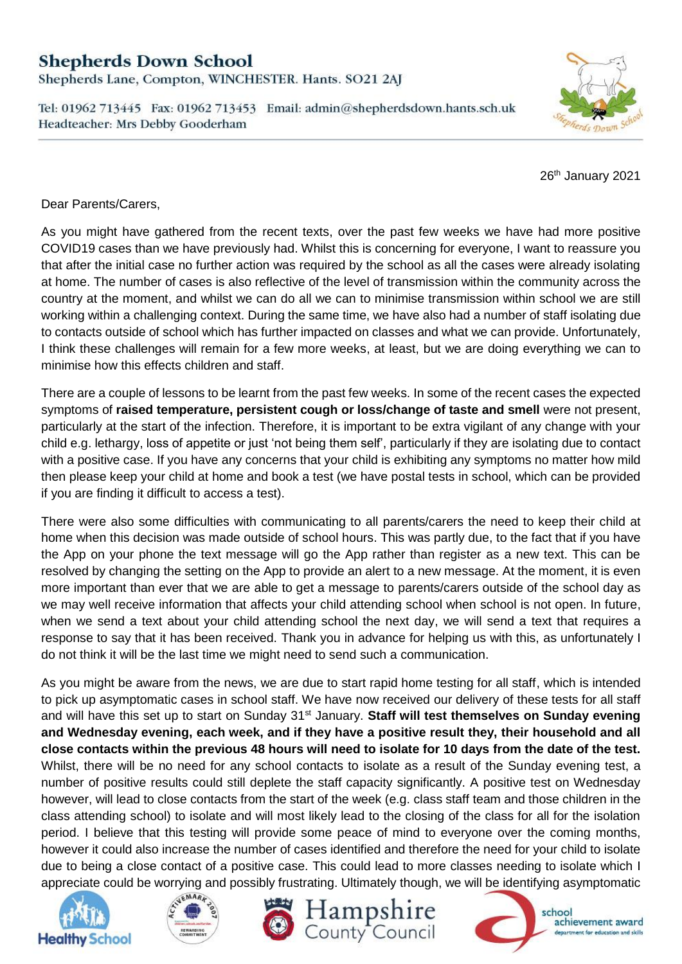## **Shepherds Down School**

Shepherds Lane, Compton, WINCHESTER. Hants. SO21 2AJ

Tel: 01962 713445 Fax: 01962 713453 Email: admin@shepherdsdown.hants.sch.uk Headteacher: Mrs Debby Gooderham



26<sup>th</sup> January 2021

Dear Parents/Carers,

As you might have gathered from the recent texts, over the past few weeks we have had more positive COVID19 cases than we have previously had. Whilst this is concerning for everyone, I want to reassure you that after the initial case no further action was required by the school as all the cases were already isolating at home. The number of cases is also reflective of the level of transmission within the community across the country at the moment, and whilst we can do all we can to minimise transmission within school we are still working within a challenging context. During the same time, we have also had a number of staff isolating due to contacts outside of school which has further impacted on classes and what we can provide. Unfortunately, I think these challenges will remain for a few more weeks, at least, but we are doing everything we can to minimise how this effects children and staff.

There are a couple of lessons to be learnt from the past few weeks. In some of the recent cases the expected symptoms of **raised temperature, persistent cough or loss/change of taste and smell** were not present, particularly at the start of the infection. Therefore, it is important to be extra vigilant of any change with your child e.g. lethargy, loss of appetite or just 'not being them self', particularly if they are isolating due to contact with a positive case. If you have any concerns that your child is exhibiting any symptoms no matter how mild then please keep your child at home and book a test (we have postal tests in school, which can be provided if you are finding it difficult to access a test).

There were also some difficulties with communicating to all parents/carers the need to keep their child at home when this decision was made outside of school hours. This was partly due, to the fact that if you have the App on your phone the text message will go the App rather than register as a new text. This can be resolved by changing the setting on the App to provide an alert to a new message. At the moment, it is even more important than ever that we are able to get a message to parents/carers outside of the school day as we may well receive information that affects your child attending school when school is not open. In future, when we send a text about your child attending school the next day, we will send a text that requires a response to say that it has been received. Thank you in advance for helping us with this, as unfortunately I do not think it will be the last time we might need to send such a communication.

As you might be aware from the news, we are due to start rapid home testing for all staff, which is intended to pick up asymptomatic cases in school staff. We have now received our delivery of these tests for all staff and will have this set up to start on Sunday 31<sup>st</sup> January. Staff will test themselves on Sunday evening **and Wednesday evening, each week, and if they have a positive result they, their household and all close contacts within the previous 48 hours will need to isolate for 10 days from the date of the test.** Whilst, there will be no need for any school contacts to isolate as a result of the Sunday evening test, a number of positive results could still deplete the staff capacity significantly. A positive test on Wednesday however, will lead to close contacts from the start of the week (e.g. class staff team and those children in the class attending school) to isolate and will most likely lead to the closing of the class for all for the isolation period. I believe that this testing will provide some peace of mind to everyone over the coming months, however it could also increase the number of cases identified and therefore the need for your child to isolate due to being a close contact of a positive case. This could lead to more classes needing to isolate which I appreciate could be worrying and possibly frustrating. Ultimately though, we will be identifying asymptomatic











achievement award department for education and skills